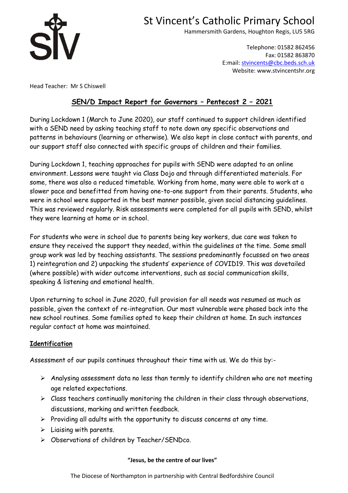

Hammersmith Gardens, Houghton Regis, LU5 5RG

Telephone: 01582 862456 Fax: 01582 863870 E:mail: [stvincents@cbc.beds.sch.uk](mailto:stvincents@cbc.beds.sch.uk) Website: www.stvincentshr.org

Head Teacher: Mr S Chiswell

## **SEN/D Impact Report for Governors – Pentecost 2 – 2021**

During Lockdown 1 (March to June 2020), our staff continued to support children identified with a SEND need by asking teaching staff to note down any specific observations and patterns in behaviours (learning or otherwise). We also kept in close contact with parents, and our support staff also connected with specific groups of children and their families.

During Lockdown 1, teaching approaches for pupils with SEND were adapted to an online environment. Lessons were taught via Class Dojo and through differentiated materials. For some, there was also a reduced timetable. Working from home, many were able to work at a slower pace and benefitted from having one-to-one support from their parents. Students, who were in school were supported in the best manner possible, given social distancing guidelines. This was reviewed regularly. Risk assessments were completed for all pupils with SEND, whilst they were learning at home or in school.

For students who were in school due to parents being key workers, due care was taken to ensure they received the support they needed, within the guidelines at the time. Some small group work was led by teaching assistants. The sessions predominantly focussed on two areas 1) reintegration and 2) unpacking the students' experience of COVID19. This was dovetailed (where possible) with wider outcome interventions, such as social communication skills, speaking & listening and emotional health.

Upon returning to school in June 2020, full provision for all needs was resumed as much as possible, given the context of re-integration. Our most vulnerable were phased back into the new school routines. Some families opted to keep their children at home. In such instances regular contact at home was maintained.

## **Identification**

Assessment of our pupils continues throughout their time with us. We do this by:-

- $\triangleright$  Analysing assessment data no less than termly to identify children who are not meeting age related expectations.
- $\triangleright$  Class teachers continually monitoring the children in their class through observations, discussions, marking and written feedback.
- $\triangleright$  Providing all adults with the opportunity to discuss concerns at any time.
- $\triangleright$  Liaising with parents.
- Observations of children by Teacher/SENDco.

### **"Jesus, be the centre of our lives"**

The Diocese of Northampton in partnership with Central Bedfordshire Council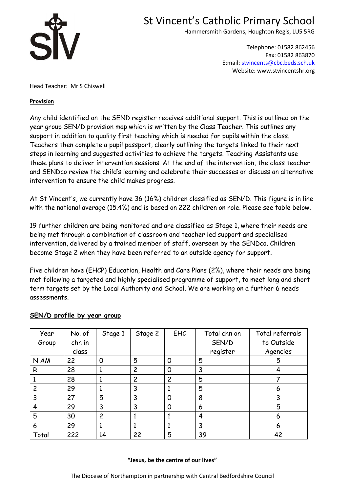

Hammersmith Gardens, Houghton Regis, LU5 5RG

Telephone: 01582 862456 Fax: 01582 863870 E:mail: [stvincents@cbc.beds.sch.uk](mailto:stvincents@cbc.beds.sch.uk) Website: www.stvincentshr.org

Head Teacher: Mr S Chiswell

### **Provision**

Any child identified on the SEND register receives additional support. This is outlined on the year group SEN/D provision map which is written by the Class Teacher. This outlines any support in addition to quality first teaching which is needed for pupils within the class. Teachers then complete a pupil passport, clearly outlining the targets linked to their next steps in learning and suggested activities to achieve the targets. Teaching Assistants use these plans to deliver intervention sessions. At the end of the intervention, the class teacher and SENDco review the child's learning and celebrate their successes or discuss an alternative intervention to ensure the child makes progress.

At St Vincent's, we currently have 36 (16%) children classified as SEN/D. This figure is in line with the national average (15.4%) and is based on 222 children on role. Please see table below.

19 further children are being monitored and are classified as Stage 1, where their needs are being met through a combination of classroom and teacher led support and specialised intervention, delivered by a trained member of staff, overseen by the SENDco. Children become Stage 2 when they have been referred to an outside agency for support.

Five children have (EHCP) Education, Health and Care Plans (2%), where their needs are being met following a targeted and highly specialised programme of support, to meet long and short term targets set by the Local Authority and School. We are working on a further 6 needs assessments.

| Year  | No. of | Stage 1     | Stage 2        | <b>EHC</b>     | Total chn on | Total referrals |
|-------|--------|-------------|----------------|----------------|--------------|-----------------|
| Group | chn in |             |                |                | SEN/D        | to Outside      |
|       | class  |             |                |                | register     | Agencies        |
| N AM  | 22     | $\mathbf 0$ | 5              | 0              | 5            | 5               |
| R     | 28     |             | $\overline{c}$ | 0              | 3            |                 |
|       | 28     |             | 2              | $\overline{c}$ | 5            |                 |
| 2     | 29     |             | 3              |                | 5            | 6               |
| 3     | 27     | 5           | 3              | 0              | 8            | 3               |
| 4     | 29     | 3           | 3              | 0              | 6            | 5               |
| 5     | 30     | 2           |                |                | 4            | 6               |
| 6     | 29     |             |                |                | 3            | 6               |
| Total | 222    | 14          | 22             | 5              | 39           | 42              |

### **SEN/D profile by year group**

#### **"Jesus, be the centre of our lives"**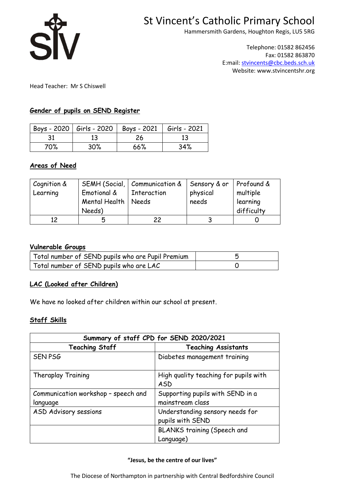

Hammersmith Gardens, Houghton Regis, LU5 5RG

Telephone: 01582 862456 Fax: 01582 863870 E:mail: [stvincents@cbc.beds.sch.uk](mailto:stvincents@cbc.beds.sch.uk) Website: www.stvincentshr.org

Head Teacher: Mr S Chiswell

### **Gender of pupils on SEND Register**

|     |     | Boys - 2020   Girls - 2020   Boys - 2021   Girls - 2021 |     |
|-----|-----|---------------------------------------------------------|-----|
|     |     | 26                                                      |     |
| 70% | 30% | 66%                                                     | 34% |

### **Areas of Need**

| Cognition &<br>Learning | Emotional &<br>Mental Health   Needs<br>Needs) | SEMH (Social,   Communication &   Sensory & or<br>  Interaction | physical<br>needs | Profound &<br>multiple<br>learning<br>difficulty |
|-------------------------|------------------------------------------------|-----------------------------------------------------------------|-------------------|--------------------------------------------------|
|                         | n                                              | 22                                                              |                   |                                                  |

#### **Vulnerable Groups**

| Total number of SEND pupils who are Pupil Premium |  |
|---------------------------------------------------|--|
| Total number of SEND pupils who are LAC           |  |

## **LAC (Looked after Children)**

We have no looked after children within our school at present.

## **Staff Skills**

| Summary of staff CPD for SEND 2020/2021 |                                              |  |  |
|-----------------------------------------|----------------------------------------------|--|--|
| <b>Teaching Staff</b>                   | <b>Teaching Assistants</b>                   |  |  |
| <b>SEN PSG</b>                          | Diabetes management training                 |  |  |
| Theraplay Training                      | High quality teaching for pupils with<br>ASD |  |  |
| Communication workshop - speech and     | Supporting pupils with SEND in a             |  |  |
| language                                | mainstream class                             |  |  |
| ASD Advisory sessions                   | Understanding sensory needs for              |  |  |
|                                         | pupils with SEND                             |  |  |
|                                         | <b>BLANKS training (Speech and</b>           |  |  |
|                                         | Language)                                    |  |  |

#### **"Jesus, be the centre of our lives"**